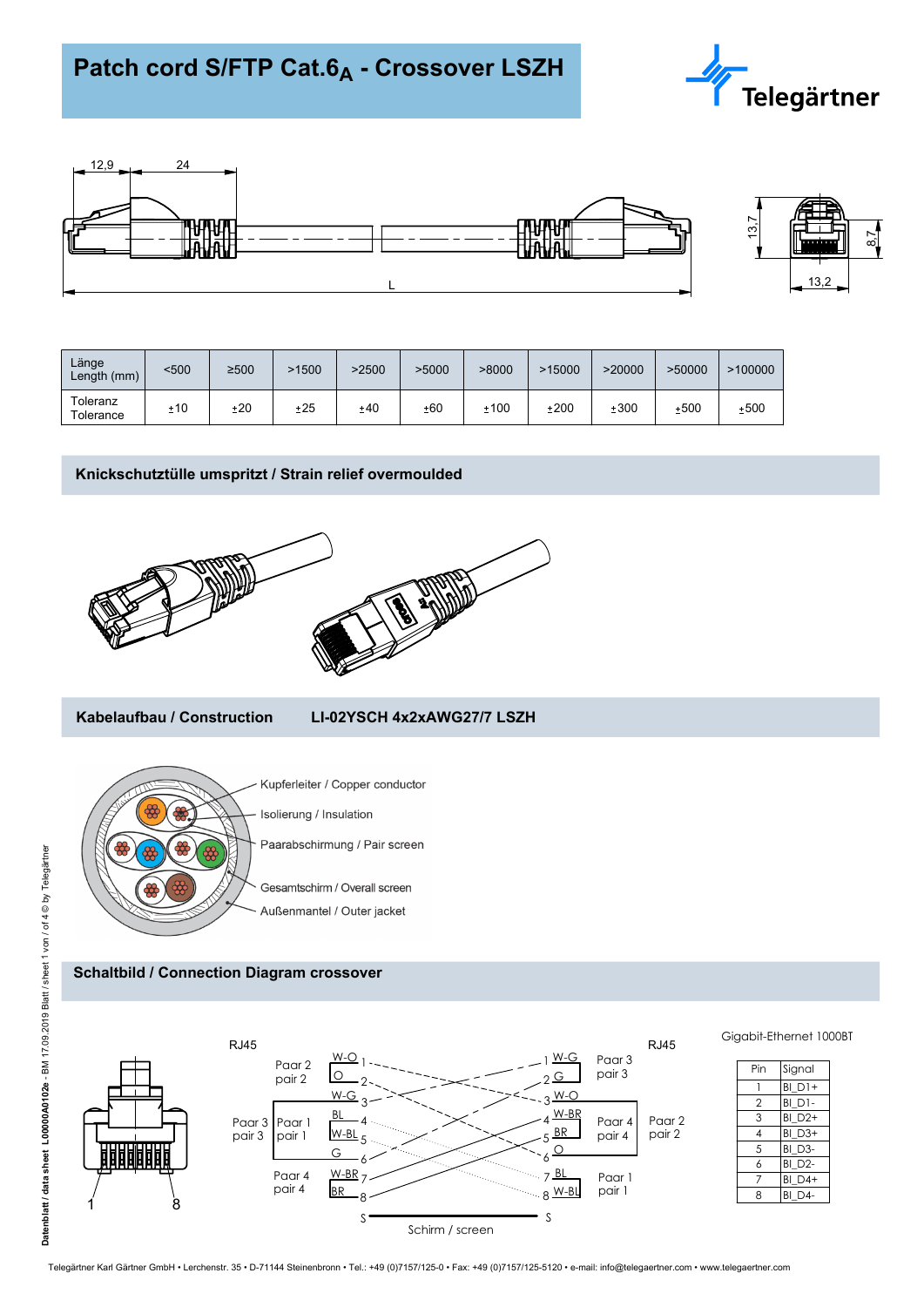



| Länge<br>Length (mm)  | <500 | $\geq 500$ | >1500 | >2500 | >5000 | >8000 | >15000 | >20000 | >50000 | >100000 |
|-----------------------|------|------------|-------|-------|-------|-------|--------|--------|--------|---------|
| Toleranz<br>Tolerance | ±10  | $+20$      | ±25   | ±40   | ±60   | ±100  | ±200   | ±300   | ±500   | ±500    |

# **Knickschutztülle umspritzt / Strain relief overmoulded**





## **Kabelaufbau / Construction LI-02YSCH 4x2xAWG27/7 LSZH**



Paarabschirmung / Pair screen

## **Schaltbild / Connection Diagram crossover**



Telegärtner Karl Gärtner GmbH • Lerchenstr. 35 • D-71144 Steinenbronn • Tel.: +49 (0)7157/125-0 • Fax: +49 (0)7157/125-5120 • e-mail: info@telegaertner.com • www.telegaertner.com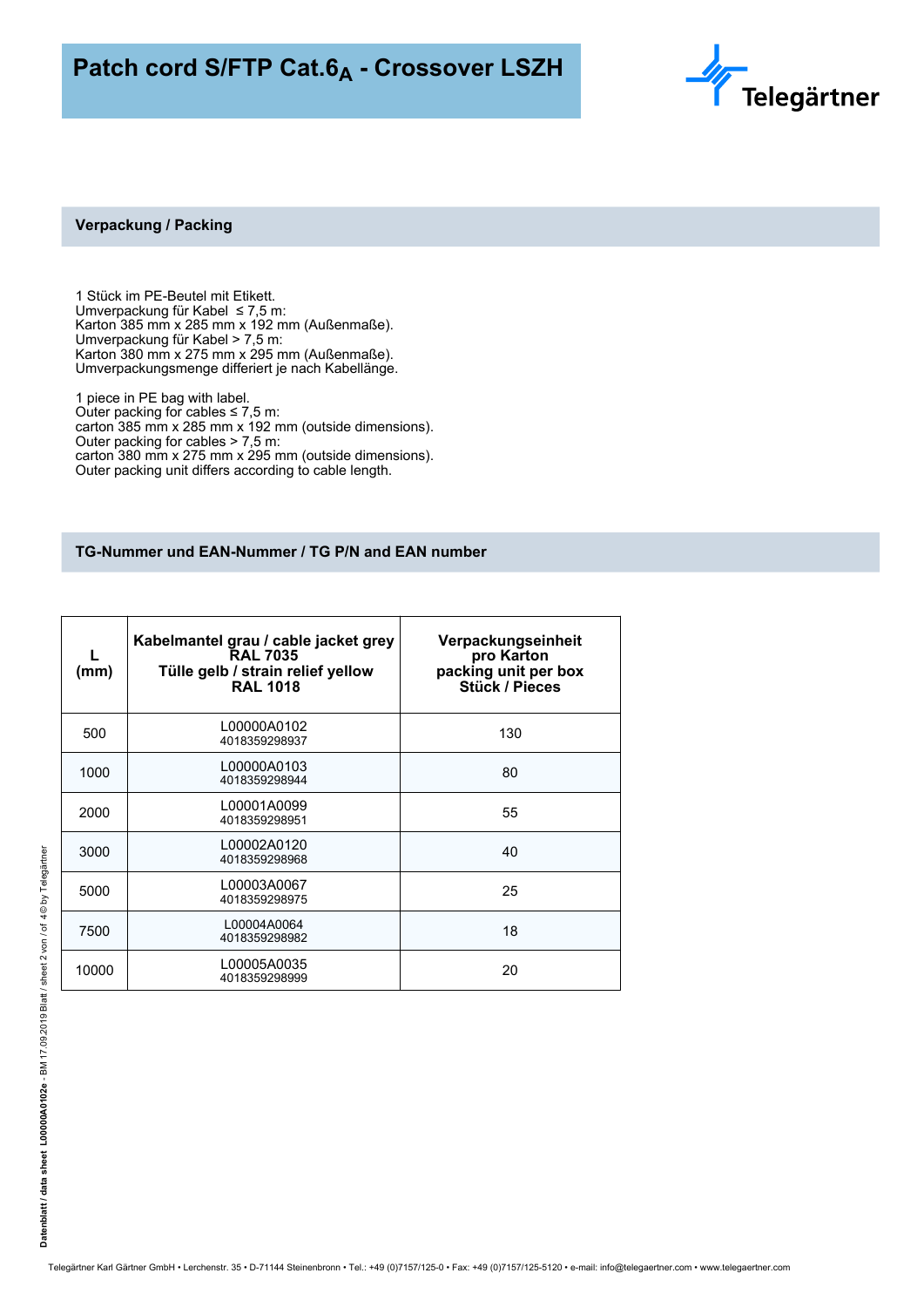

#### **Verpackung / Packing**

1 Stück im PE-Beutel mit Etikett. Umverpackung für Kabel ≤ 7,5 m: Karton 385 mm x 285 mm x 192 mm (Außenmaße). Umverpackung für Kabel > 7,5 m: Karton 380 mm x 275 mm x 295 mm (Außenmaße). Umverpackungsmenge differiert je nach Kabellänge.

1 piece in PE bag with label. Outer packing for cables  $\leq 7.5$  m: carton 385 mm x 285 mm x 192 mm (outside dimensions). Outer packing for cables > 7,5 m: carton 380 mm x 275 mm x 295 mm (outside dimensions). Outer packing unit differs according to cable length.

## **TG-Nummer und EAN-Nummer / TG P/N and EAN number**

| (mm)  | Kabelmantel grau / cable jacket grey<br><b>RAL 7035</b><br>Tülle gelb / strain relief yellow<br><b>RAL 1018</b> | Verpackungseinheit<br>pro Karton<br>packing unit per box<br><b>Stück / Pieces</b> |
|-------|-----------------------------------------------------------------------------------------------------------------|-----------------------------------------------------------------------------------|
| 500   | L00000A0102<br>4018359298937                                                                                    | 130                                                                               |
| 1000  | L00000A0103<br>4018359298944                                                                                    | 80                                                                                |
| 2000  | L00001A0099<br>4018359298951                                                                                    | 55                                                                                |
| 3000  | L00002A0120<br>4018359298968                                                                                    | 40                                                                                |
| 5000  | L00003A0067<br>4018359298975                                                                                    | 25                                                                                |
| 7500  | L00004A0064<br>4018359298982                                                                                    | 18                                                                                |
| 10000 | L00005A0035<br>4018359298999                                                                                    | 20                                                                                |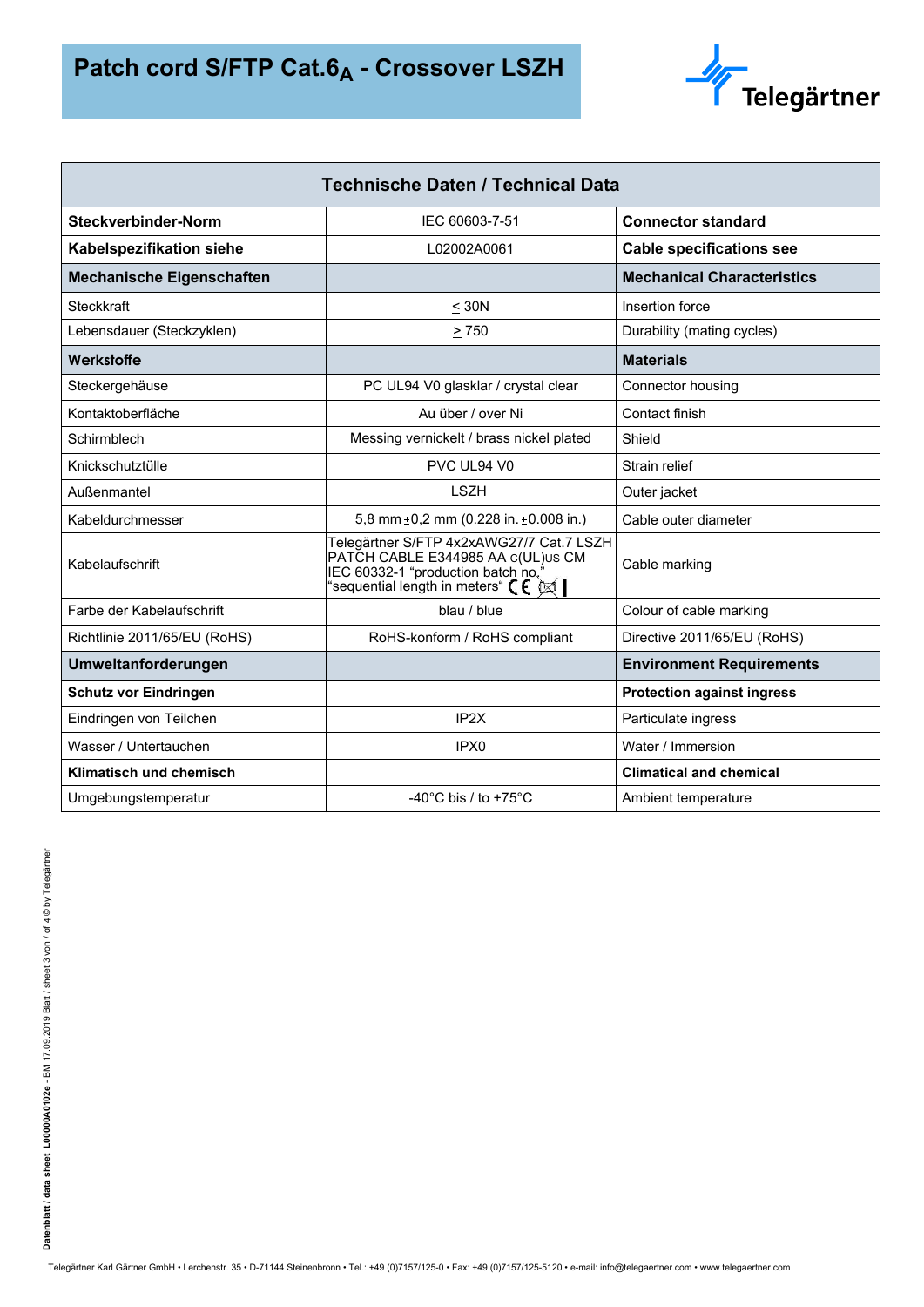

| <b>Technische Daten / Technical Data</b> |                                                                                                                                                                                                     |                                   |  |  |  |
|------------------------------------------|-----------------------------------------------------------------------------------------------------------------------------------------------------------------------------------------------------|-----------------------------------|--|--|--|
| Steckverbinder-Norm                      | IEC 60603-7-51                                                                                                                                                                                      | <b>Connector standard</b>         |  |  |  |
| Kabelspezifikation siehe                 | L02002A0061                                                                                                                                                                                         | <b>Cable specifications see</b>   |  |  |  |
| <b>Mechanische Eigenschaften</b>         |                                                                                                                                                                                                     | <b>Mechanical Characteristics</b> |  |  |  |
| <b>Steckkraft</b>                        | $<$ 30N                                                                                                                                                                                             | Insertion force                   |  |  |  |
| Lebensdauer (Steckzyklen)                | > 750                                                                                                                                                                                               | Durability (mating cycles)        |  |  |  |
| Werkstoffe                               |                                                                                                                                                                                                     | <b>Materials</b>                  |  |  |  |
| Steckergehäuse                           | PC UL94 V0 glasklar / crystal clear                                                                                                                                                                 | Connector housing                 |  |  |  |
| Kontaktoberfläche                        | Au über / over Ni                                                                                                                                                                                   | Contact finish                    |  |  |  |
| Schirmblech                              | Messing vernickelt / brass nickel plated                                                                                                                                                            | Shield                            |  |  |  |
| Knickschutztülle                         | PVC UL94 V0                                                                                                                                                                                         | Strain relief                     |  |  |  |
| Außenmantel                              | <b>LSZH</b>                                                                                                                                                                                         | Outer jacket                      |  |  |  |
| Kabeldurchmesser                         | 5,8 mm $\pm$ 0,2 mm (0.228 in. $\pm$ 0.008 in.)                                                                                                                                                     | Cable outer diameter              |  |  |  |
| Kabelaufschrift                          | Telegärtner S/FTP 4x2xAWG27/7 Cat.7 LSZH<br>PATČH CABLE E344985 AA c(UL)∪s CM<br>IEC 60332-1 "production batch no.<br>'sequential length in meters" $\bm{\zeta} \bm{\epsilon}$ $\Join$ $\bm{\zeta}$ | Cable marking                     |  |  |  |
| Farbe der Kabelaufschrift                | blau / blue                                                                                                                                                                                         | Colour of cable marking           |  |  |  |
| Richtlinie 2011/65/EU (RoHS)             | RoHS-konform / RoHS compliant                                                                                                                                                                       | Directive 2011/65/EU (RoHS)       |  |  |  |
| Umweltanforderungen                      |                                                                                                                                                                                                     | <b>Environment Requirements</b>   |  |  |  |
| <b>Schutz vor Eindringen</b>             |                                                                                                                                                                                                     | <b>Protection against ingress</b> |  |  |  |
| Eindringen von Teilchen                  | IP <sub>2X</sub>                                                                                                                                                                                    | Particulate ingress               |  |  |  |
| Wasser / Untertauchen                    | IPX <sub>0</sub>                                                                                                                                                                                    | Water / Immersion                 |  |  |  |
| Klimatisch und chemisch                  |                                                                                                                                                                                                     | <b>Climatical and chemical</b>    |  |  |  |
| Umgebungstemperatur                      | -40 $^{\circ}$ C bis / to +75 $^{\circ}$ C                                                                                                                                                          | Ambient temperature               |  |  |  |